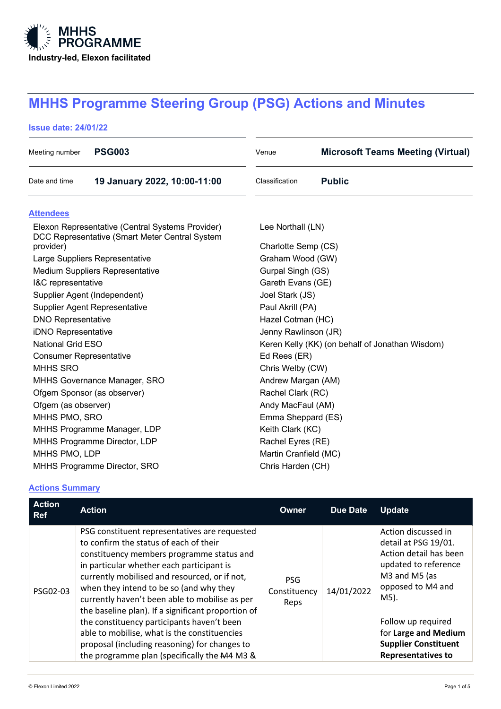

# **MHHS Programme Steering Group (PSG) Actions and Minutes**

## **Issue date: 24/01/22**

| Meeting number                                                                                     | <b>PSG003</b>                | Venue                                           | <b>Microsoft Teams Meeting (Virtual)</b> |  |  |  |
|----------------------------------------------------------------------------------------------------|------------------------------|-------------------------------------------------|------------------------------------------|--|--|--|
| Date and time                                                                                      | 19 January 2022, 10:00-11:00 | Classification                                  | <b>Public</b>                            |  |  |  |
| <b>Attendees</b>                                                                                   |                              |                                                 |                                          |  |  |  |
| Elexon Representative (Central Systems Provider)<br>DCC Representative (Smart Meter Central System |                              | Lee Northall (LN)                               |                                          |  |  |  |
| provider)                                                                                          |                              | Charlotte Semp (CS)                             |                                          |  |  |  |
| Large Suppliers Representative                                                                     |                              | Graham Wood (GW)                                |                                          |  |  |  |
| <b>Medium Suppliers Representative</b>                                                             |                              | Gurpal Singh (GS)                               |                                          |  |  |  |
| I&C representative                                                                                 |                              | Gareth Evans (GE)                               |                                          |  |  |  |
| Supplier Agent (Independent)                                                                       |                              | Joel Stark (JS)                                 |                                          |  |  |  |
| Supplier Agent Representative                                                                      |                              | Paul Akrill (PA)                                |                                          |  |  |  |
| <b>DNO Representative</b>                                                                          |                              | Hazel Cotman (HC)                               |                                          |  |  |  |
| iDNO Representative                                                                                |                              | Jenny Rawlinson (JR)                            |                                          |  |  |  |
| <b>National Grid ESO</b>                                                                           |                              | Keren Kelly (KK) (on behalf of Jonathan Wisdom) |                                          |  |  |  |
| <b>Consumer Representative</b>                                                                     |                              | Ed Rees (ER)                                    |                                          |  |  |  |
| <b>MHHS SRO</b>                                                                                    |                              | Chris Welby (CW)                                |                                          |  |  |  |
| MHHS Governance Manager, SRO                                                                       |                              | Andrew Margan (AM)                              |                                          |  |  |  |
| Ofgem Sponsor (as observer)                                                                        |                              | Rachel Clark (RC)                               |                                          |  |  |  |
| Ofgem (as observer)                                                                                |                              | Andy MacFaul (AM)                               |                                          |  |  |  |
| MHHS PMO, SRO                                                                                      |                              |                                                 | Emma Sheppard (ES)                       |  |  |  |
| MHHS Programme Manager, LDP                                                                        |                              | Keith Clark (KC)                                |                                          |  |  |  |
| MHHS Programme Director, LDP                                                                       |                              |                                                 | Rachel Eyres (RE)                        |  |  |  |
| MHHS PMO, LDP                                                                                      |                              |                                                 | Martin Cranfield (MC)                    |  |  |  |
|                                                                                                    | MHHS Programme Director, SRO |                                                 | Chris Harden (CH)                        |  |  |  |

## **Actions Summary**

| <b>Action</b><br><b>Ref</b> | <b>Action</b>                                                                                                                                                                                                                                                                                                                                                                                                                                                                                                                                                                        | Owner                              | <b>Due Date</b> | <b>Update</b>                                                                                                                                                                                                                                         |
|-----------------------------|--------------------------------------------------------------------------------------------------------------------------------------------------------------------------------------------------------------------------------------------------------------------------------------------------------------------------------------------------------------------------------------------------------------------------------------------------------------------------------------------------------------------------------------------------------------------------------------|------------------------------------|-----------------|-------------------------------------------------------------------------------------------------------------------------------------------------------------------------------------------------------------------------------------------------------|
| PSG02-03                    | PSG constituent representatives are requested<br>to confirm the status of each of their<br>constituency members programme status and<br>in particular whether each participant is<br>currently mobilised and resourced, or if not,<br>when they intend to be so (and why they<br>currently haven't been able to mobilise as per<br>the baseline plan). If a significant proportion of<br>the constituency participants haven't been<br>able to mobilise, what is the constituencies<br>proposal (including reasoning) for changes to<br>the programme plan (specifically the M4 M3 & | <b>PSG</b><br>Constituency<br>Reps | 14/01/2022      | Action discussed in<br>detail at PSG 19/01.<br>Action detail has been<br>updated to reference<br>M3 and M5 (as<br>opposed to M4 and<br>M5).<br>Follow up required<br>for Large and Medium<br><b>Supplier Constituent</b><br><b>Representatives to</b> |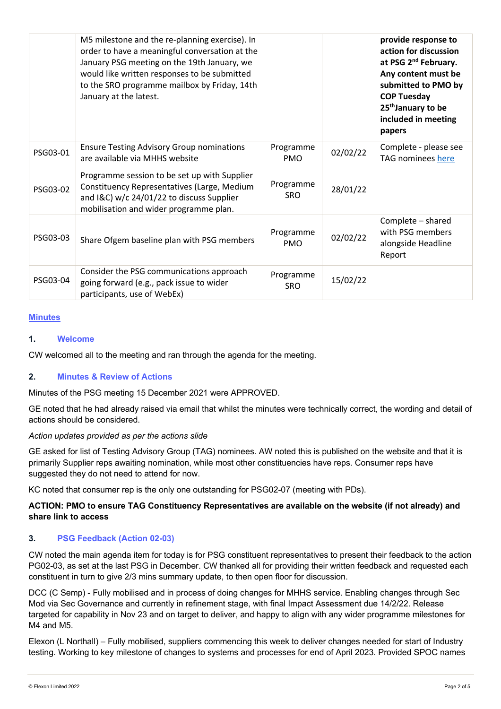|          | M5 milestone and the re-planning exercise). In<br>order to have a meaningful conversation at the<br>January PSG meeting on the 19th January, we<br>would like written responses to be submitted<br>to the SRO programme mailbox by Friday, 14th<br>January at the latest. |                         |          | provide response to<br>action for discussion<br>at PSG 2 <sup>nd</sup> February.<br>Any content must be<br>submitted to PMO by<br><b>COP Tuesday</b><br>25 <sup>th</sup> January to be<br>included in meeting<br>papers |
|----------|---------------------------------------------------------------------------------------------------------------------------------------------------------------------------------------------------------------------------------------------------------------------------|-------------------------|----------|-------------------------------------------------------------------------------------------------------------------------------------------------------------------------------------------------------------------------|
| PSG03-01 | <b>Ensure Testing Advisory Group nominations</b><br>are available via MHHS website                                                                                                                                                                                        | Programme<br><b>PMO</b> | 02/02/22 | Complete - please see<br>TAG nominees here                                                                                                                                                                              |
| PSG03-02 | Programme session to be set up with Supplier<br>Constituency Representatives (Large, Medium<br>and I&C) w/c 24/01/22 to discuss Supplier<br>mobilisation and wider programme plan.                                                                                        | Programme<br><b>SRO</b> | 28/01/22 |                                                                                                                                                                                                                         |
| PSG03-03 | Share Ofgem baseline plan with PSG members                                                                                                                                                                                                                                | Programme<br><b>PMO</b> | 02/02/22 | Complete - shared<br>with PSG members<br>alongside Headline<br>Report                                                                                                                                                   |
| PSG03-04 | Consider the PSG communications approach<br>going forward (e.g., pack issue to wider<br>participants, use of WebEx)                                                                                                                                                       | Programme<br><b>SRO</b> | 15/02/22 |                                                                                                                                                                                                                         |

#### **Minutes**

#### **1. Welcome**

CW welcomed all to the meeting and ran through the agenda for the meeting.

#### **2. Minutes & Review of Actions**

Minutes of the PSG meeting 15 December 2021 were APPROVED.

GE noted that he had already raised via email that whilst the minutes were technically correct, the wording and detail of actions should be considered.

#### *Action updates provided as per the actions slide*

GE asked for list of Testing Advisory Group (TAG) nominees. AW noted this is published on the website and that it is primarily Supplier reps awaiting nomination, while most other constituencies have reps. Consumer reps have suggested they do not need to attend for now.

KC noted that consumer rep is the only one outstanding for PSG02-07 (meeting with PDs).

## **ACTION: PMO to ensure TAG Constituency Representatives are available on the website (if not already) and share link to access**

#### **3. PSG Feedback (Action 02-03)**

CW noted the main agenda item for today is for PSG constituent representatives to present their feedback to the action PG02-03, as set at the last PSG in December. CW thanked all for providing their written feedback and requested each constituent in turn to give 2/3 mins summary update, to then open floor for discussion.

DCC (C Semp) - Fully mobilised and in process of doing changes for MHHS service. Enabling changes through Sec Mod via Sec Governance and currently in refinement stage, with final Impact Assessment due 14/2/22. Release targeted for capability in Nov 23 and on target to deliver, and happy to align with any wider programme milestones for M4 and M5.

Elexon (L Northall) – Fully mobilised, suppliers commencing this week to deliver changes needed for start of Industry testing. Working to key milestone of changes to systems and processes for end of April 2023. Provided SPOC names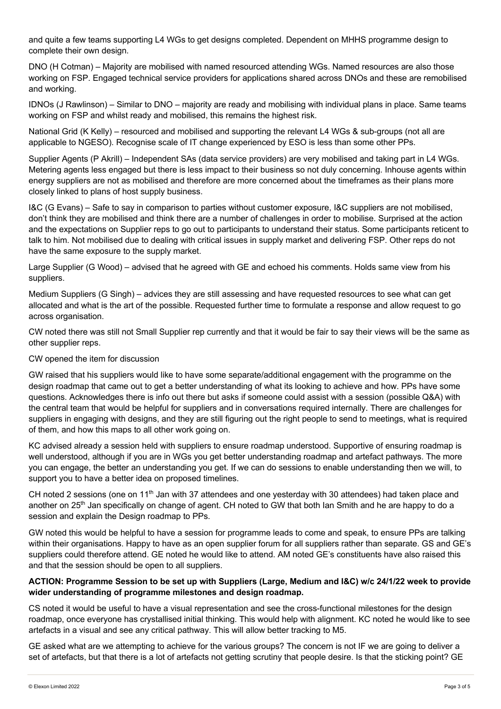and quite a few teams supporting L4 WGs to get designs completed. Dependent on MHHS programme design to complete their own design.

DNO (H Cotman) – Majority are mobilised with named resourced attending WGs. Named resources are also those working on FSP. Engaged technical service providers for applications shared across DNOs and these are remobilised and working.

IDNOs (J Rawlinson) – Similar to DNO – majority are ready and mobilising with individual plans in place. Same teams working on FSP and whilst ready and mobilised, this remains the highest risk.

National Grid (K Kelly) – resourced and mobilised and supporting the relevant L4 WGs & sub-groups (not all are applicable to NGESO). Recognise scale of IT change experienced by ESO is less than some other PPs.

Supplier Agents (P Akrill) – Independent SAs (data service providers) are very mobilised and taking part in L4 WGs. Metering agents less engaged but there is less impact to their business so not duly concerning. Inhouse agents within energy suppliers are not as mobilised and therefore are more concerned about the timeframes as their plans more closely linked to plans of host supply business.

I&C (G Evans) – Safe to say in comparison to parties without customer exposure, I&C suppliers are not mobilised, don't think they are mobilised and think there are a number of challenges in order to mobilise. Surprised at the action and the expectations on Supplier reps to go out to participants to understand their status. Some participants reticent to talk to him. Not mobilised due to dealing with critical issues in supply market and delivering FSP. Other reps do not have the same exposure to the supply market.

Large Supplier (G Wood) – advised that he agreed with GE and echoed his comments. Holds same view from his suppliers.

Medium Suppliers (G Singh) – advices they are still assessing and have requested resources to see what can get allocated and what is the art of the possible. Requested further time to formulate a response and allow request to go across organisation.

CW noted there was still not Small Supplier rep currently and that it would be fair to say their views will be the same as other supplier reps.

#### CW opened the item for discussion

GW raised that his suppliers would like to have some separate/additional engagement with the programme on the design roadmap that came out to get a better understanding of what its looking to achieve and how. PPs have some questions. Acknowledges there is info out there but asks if someone could assist with a session (possible Q&A) with the central team that would be helpful for suppliers and in conversations required internally. There are challenges for suppliers in engaging with designs, and they are still figuring out the right people to send to meetings, what is required of them, and how this maps to all other work going on.

KC advised already a session held with suppliers to ensure roadmap understood. Supportive of ensuring roadmap is well understood, although if you are in WGs you get better understanding roadmap and artefact pathways. The more you can engage, the better an understanding you get. If we can do sessions to enable understanding then we will, to support you to have a better idea on proposed timelines.

CH noted 2 sessions (one on 11<sup>th</sup> Jan with 37 attendees and one yesterday with 30 attendees) had taken place and another on 25<sup>th</sup> Jan specifically on change of agent. CH noted to GW that both Ian Smith and he are happy to do a session and explain the Design roadmap to PPs.

GW noted this would be helpful to have a session for programme leads to come and speak, to ensure PPs are talking within their organisations. Happy to have as an open supplier forum for all suppliers rather than separate. GS and GE's suppliers could therefore attend. GE noted he would like to attend. AM noted GE's constituents have also raised this and that the session should be open to all suppliers.

#### **ACTION: Programme Session to be set up with Suppliers (Large, Medium and I&C) w/c 24/1/22 week to provide wider understanding of programme milestones and design roadmap.**

CS noted it would be useful to have a visual representation and see the cross-functional milestones for the design roadmap, once everyone has crystallised initial thinking. This would help with alignment. KC noted he would like to see artefacts in a visual and see any critical pathway. This will allow better tracking to M5.

GE asked what are we attempting to achieve for the various groups? The concern is not IF we are going to deliver a set of artefacts, but that there is a lot of artefacts not getting scrutiny that people desire. Is that the sticking point? GE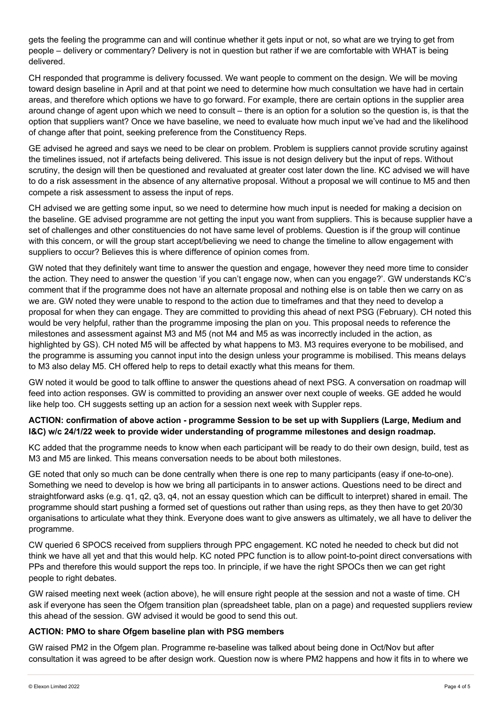gets the feeling the programme can and will continue whether it gets input or not, so what are we trying to get from people – delivery or commentary? Delivery is not in question but rather if we are comfortable with WHAT is being delivered.

CH responded that programme is delivery focussed. We want people to comment on the design. We will be moving toward design baseline in April and at that point we need to determine how much consultation we have had in certain areas, and therefore which options we have to go forward. For example, there are certain options in the supplier area around change of agent upon which we need to consult – there is an option for a solution so the question is, is that the option that suppliers want? Once we have baseline, we need to evaluate how much input we've had and the likelihood of change after that point, seeking preference from the Constituency Reps.

GE advised he agreed and says we need to be clear on problem. Problem is suppliers cannot provide scrutiny against the timelines issued, not if artefacts being delivered. This issue is not design delivery but the input of reps. Without scrutiny, the design will then be questioned and revaluated at greater cost later down the line. KC advised we will have to do a risk assessment in the absence of any alternative proposal. Without a proposal we will continue to M5 and then compete a risk assessment to assess the input of reps.

CH advised we are getting some input, so we need to determine how much input is needed for making a decision on the baseline. GE advised programme are not getting the input you want from suppliers. This is because supplier have a set of challenges and other constituencies do not have same level of problems. Question is if the group will continue with this concern, or will the group start accept/believing we need to change the timeline to allow engagement with suppliers to occur? Believes this is where difference of opinion comes from.

GW noted that they definitely want time to answer the question and engage, however they need more time to consider the action. They need to answer the question 'if you can't engage now, when can you engage?'. GW understands KC's comment that if the programme does not have an alternate proposal and nothing else is on table then we carry on as we are. GW noted they were unable to respond to the action due to timeframes and that they need to develop a proposal for when they can engage. They are committed to providing this ahead of next PSG (February). CH noted this would be very helpful, rather than the programme imposing the plan on you. This proposal needs to reference the milestones and assessment against M3 and M5 (not M4 and M5 as was incorrectly included in the action, as highlighted by GS). CH noted M5 will be affected by what happens to M3. M3 requires everyone to be mobilised, and the programme is assuming you cannot input into the design unless your programme is mobilised. This means delays to M3 also delay M5. CH offered help to reps to detail exactly what this means for them.

GW noted it would be good to talk offline to answer the questions ahead of next PSG. A conversation on roadmap will feed into action responses. GW is committed to providing an answer over next couple of weeks. GE added he would like help too. CH suggests setting up an action for a session next week with Suppler reps.

## **ACTION: confirmation of above action - programme Session to be set up with Suppliers (Large, Medium and I&C) w/c 24/1/22 week to provide wider understanding of programme milestones and design roadmap.**

KC added that the programme needs to know when each participant will be ready to do their own design, build, test as M3 and M5 are linked. This means conversation needs to be about both milestones.

GE noted that only so much can be done centrally when there is one rep to many participants (easy if one-to-one). Something we need to develop is how we bring all participants in to answer actions. Questions need to be direct and straightforward asks (e.g. q1, q2, q3, q4, not an essay question which can be difficult to interpret) shared in email. The programme should start pushing a formed set of questions out rather than using reps, as they then have to get 20/30 organisations to articulate what they think. Everyone does want to give answers as ultimately, we all have to deliver the programme.

CW queried 6 SPOCS received from suppliers through PPC engagement. KC noted he needed to check but did not think we have all yet and that this would help. KC noted PPC function is to allow point-to-point direct conversations with PPs and therefore this would support the reps too. In principle, if we have the right SPOCs then we can get right people to right debates.

GW raised meeting next week (action above), he will ensure right people at the session and not a waste of time. CH ask if everyone has seen the Ofgem transition plan (spreadsheet table, plan on a page) and requested suppliers review this ahead of the session. GW advised it would be good to send this out.

#### **ACTION: PMO to share Ofgem baseline plan with PSG members**

GW raised PM2 in the Ofgem plan. Programme re-baseline was talked about being done in Oct/Nov but after consultation it was agreed to be after design work. Question now is where PM2 happens and how it fits in to where we